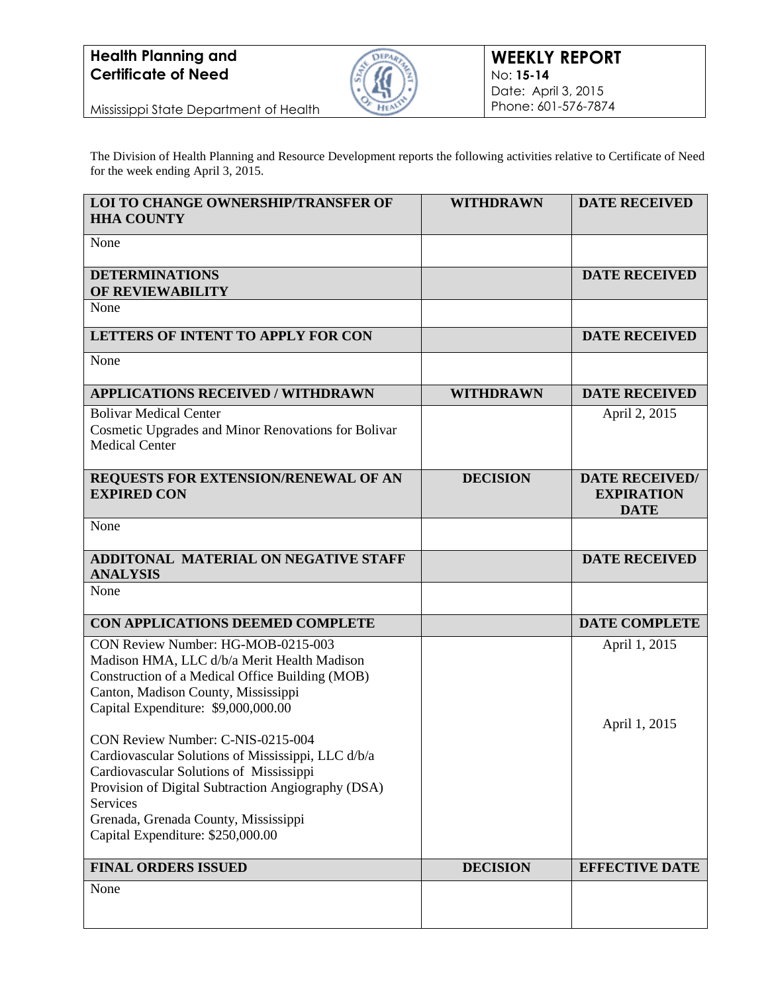

Mississippi State Department of Health

The Division of Health Planning and Resource Development reports the following activities relative to Certificate of Need for the week ending April 3, 2015.

| LOI TO CHANGE OWNERSHIP/TRANSFER OF<br><b>HHA COUNTY</b>                                                                                                                                                                                                                          | <b>WITHDRAWN</b> | <b>DATE RECEIVED</b>                                      |
|-----------------------------------------------------------------------------------------------------------------------------------------------------------------------------------------------------------------------------------------------------------------------------------|------------------|-----------------------------------------------------------|
| None                                                                                                                                                                                                                                                                              |                  |                                                           |
| <b>DETERMINATIONS</b><br>OF REVIEWABILITY                                                                                                                                                                                                                                         |                  | <b>DATE RECEIVED</b>                                      |
| None                                                                                                                                                                                                                                                                              |                  |                                                           |
| LETTERS OF INTENT TO APPLY FOR CON                                                                                                                                                                                                                                                |                  | <b>DATE RECEIVED</b>                                      |
| None                                                                                                                                                                                                                                                                              |                  |                                                           |
| <b>APPLICATIONS RECEIVED / WITHDRAWN</b>                                                                                                                                                                                                                                          | <b>WITHDRAWN</b> | <b>DATE RECEIVED</b>                                      |
| <b>Bolivar Medical Center</b><br>Cosmetic Upgrades and Minor Renovations for Bolivar<br><b>Medical Center</b>                                                                                                                                                                     |                  | April 2, 2015                                             |
| REQUESTS FOR EXTENSION/RENEWAL OF AN<br><b>EXPIRED CON</b>                                                                                                                                                                                                                        | <b>DECISION</b>  | <b>DATE RECEIVED/</b><br><b>EXPIRATION</b><br><b>DATE</b> |
| None                                                                                                                                                                                                                                                                              |                  |                                                           |
| ADDITONAL MATERIAL ON NEGATIVE STAFF<br><b>ANALYSIS</b>                                                                                                                                                                                                                           |                  | <b>DATE RECEIVED</b>                                      |
| None                                                                                                                                                                                                                                                                              |                  |                                                           |
| CON APPLICATIONS DEEMED COMPLETE                                                                                                                                                                                                                                                  |                  | <b>DATE COMPLETE</b>                                      |
| CON Review Number: HG-MOB-0215-003<br>Madison HMA, LLC d/b/a Merit Health Madison<br>Construction of a Medical Office Building (MOB)<br>Canton, Madison County, Mississippi<br>Capital Expenditure: \$9,000,000.00                                                                |                  | April 1, 2015                                             |
| CON Review Number: C-NIS-0215-004<br>Cardiovascular Solutions of Mississippi, LLC d/b/a<br>Cardiovascular Solutions of Mississippi<br>Provision of Digital Subtraction Angiography (DSA)<br>Services<br>Grenada, Grenada County, Mississippi<br>Capital Expenditure: \$250,000.00 |                  | April 1, 2015                                             |
| <b>FINAL ORDERS ISSUED</b>                                                                                                                                                                                                                                                        | <b>DECISION</b>  | <b>EFFECTIVE DATE</b>                                     |
| None                                                                                                                                                                                                                                                                              |                  |                                                           |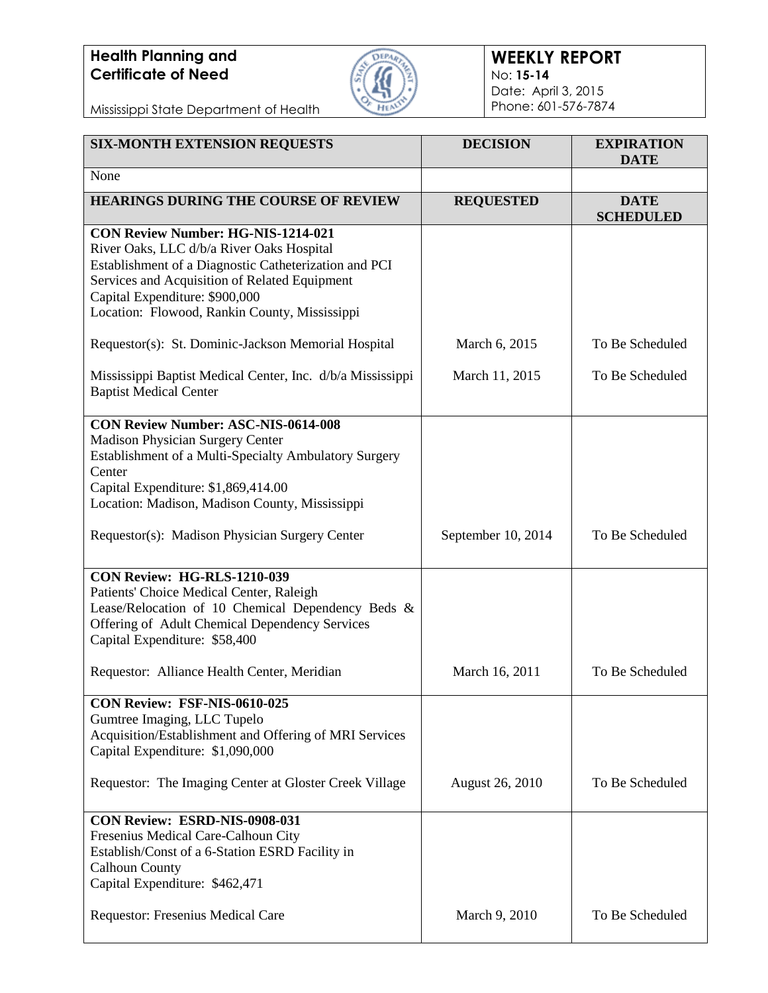

#### **WEEKLY REPORT** No: **15-14** Date: April 3, 2015 Phone: 601-576-7874

Mississippi State Department of Health

| <b>SIX-MONTH EXTENSION REQUESTS</b>                                                                                                                                                                                                                                          | <b>DECISION</b>        | <b>EXPIRATION</b><br><b>DATE</b> |
|------------------------------------------------------------------------------------------------------------------------------------------------------------------------------------------------------------------------------------------------------------------------------|------------------------|----------------------------------|
| None                                                                                                                                                                                                                                                                         |                        |                                  |
| <b>HEARINGS DURING THE COURSE OF REVIEW</b>                                                                                                                                                                                                                                  | <b>REQUESTED</b>       | <b>DATE</b><br><b>SCHEDULED</b>  |
| CON Review Number: HG-NIS-1214-021<br>River Oaks, LLC d/b/a River Oaks Hospital<br>Establishment of a Diagnostic Catheterization and PCI<br>Services and Acquisition of Related Equipment<br>Capital Expenditure: \$900,000<br>Location: Flowood, Rankin County, Mississippi |                        |                                  |
| Requestor(s): St. Dominic-Jackson Memorial Hospital                                                                                                                                                                                                                          | March 6, 2015          | To Be Scheduled                  |
| Mississippi Baptist Medical Center, Inc. d/b/a Mississippi<br><b>Baptist Medical Center</b>                                                                                                                                                                                  | March 11, 2015         | To Be Scheduled                  |
| <b>CON Review Number: ASC-NIS-0614-008</b><br><b>Madison Physician Surgery Center</b><br>Establishment of a Multi-Specialty Ambulatory Surgery<br>Center<br>Capital Expenditure: \$1,869,414.00<br>Location: Madison, Madison County, Mississippi                            |                        |                                  |
| Requestor(s): Madison Physician Surgery Center                                                                                                                                                                                                                               | September 10, 2014     | To Be Scheduled                  |
| CON Review: HG-RLS-1210-039<br>Patients' Choice Medical Center, Raleigh<br>Lease/Relocation of 10 Chemical Dependency Beds &<br>Offering of Adult Chemical Dependency Services<br>Capital Expenditure: \$58,400                                                              |                        |                                  |
| Requestor: Alliance Health Center, Meridian                                                                                                                                                                                                                                  | March 16, 2011         | To Be Scheduled                  |
| CON Review: FSF-NIS-0610-025<br>Gumtree Imaging, LLC Tupelo<br>Acquisition/Establishment and Offering of MRI Services<br>Capital Expenditure: \$1,090,000                                                                                                                    |                        |                                  |
| Requestor: The Imaging Center at Gloster Creek Village                                                                                                                                                                                                                       | <b>August 26, 2010</b> | To Be Scheduled                  |
| CON Review: ESRD-NIS-0908-031<br>Fresenius Medical Care-Calhoun City<br>Establish/Const of a 6-Station ESRD Facility in<br><b>Calhoun County</b><br>Capital Expenditure: \$462,471                                                                                           |                        |                                  |
| Requestor: Fresenius Medical Care                                                                                                                                                                                                                                            | March 9, 2010          | To Be Scheduled                  |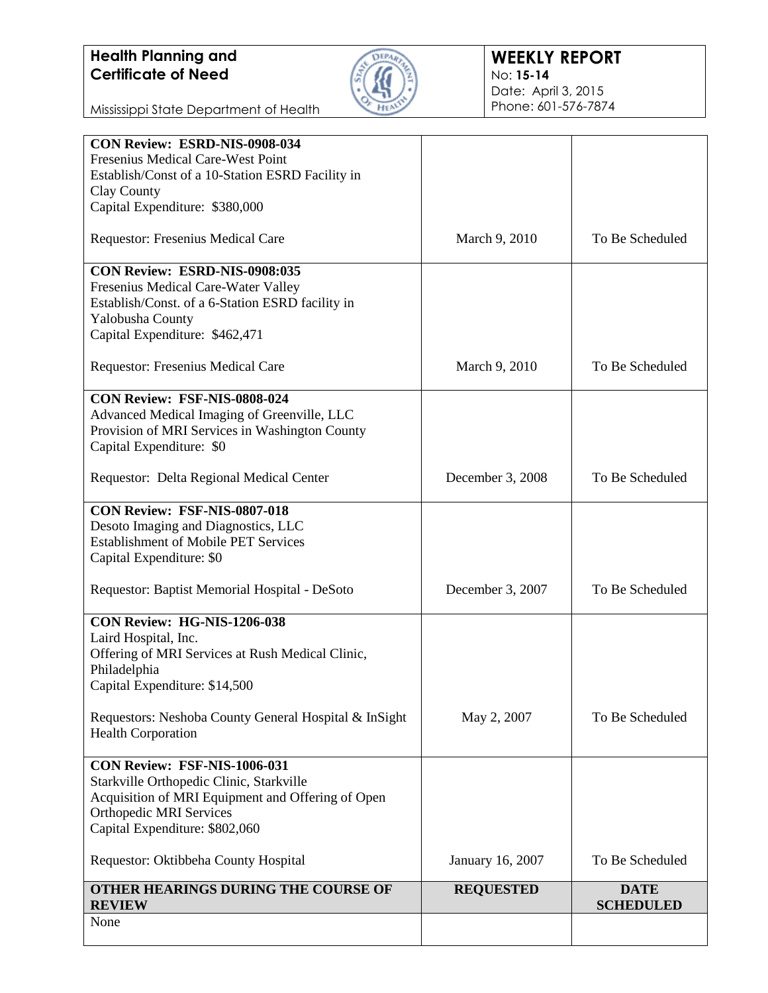

Mississippi State Department of Health

| CON Review: ESRD-NIS-0908-034                         |                  |                                 |
|-------------------------------------------------------|------------------|---------------------------------|
| Fresenius Medical Care-West Point                     |                  |                                 |
| Establish/Const of a 10-Station ESRD Facility in      |                  |                                 |
| Clay County                                           |                  |                                 |
| Capital Expenditure: \$380,000                        |                  |                                 |
| Requestor: Fresenius Medical Care                     | March 9, 2010    | To Be Scheduled                 |
| CON Review: ESRD-NIS-0908:035                         |                  |                                 |
| Fresenius Medical Care-Water Valley                   |                  |                                 |
| Establish/Const. of a 6-Station ESRD facility in      |                  |                                 |
| Yalobusha County                                      |                  |                                 |
| Capital Expenditure: \$462,471                        |                  |                                 |
| Requestor: Fresenius Medical Care                     | March 9, 2010    | To Be Scheduled                 |
| CON Review: FSF-NIS-0808-024                          |                  |                                 |
| Advanced Medical Imaging of Greenville, LLC           |                  |                                 |
| Provision of MRI Services in Washington County        |                  |                                 |
| Capital Expenditure: \$0                              |                  |                                 |
| Requestor: Delta Regional Medical Center              | December 3, 2008 | To Be Scheduled                 |
|                                                       |                  |                                 |
| CON Review: FSF-NIS-0807-018                          |                  |                                 |
| Desoto Imaging and Diagnostics, LLC                   |                  |                                 |
| <b>Establishment of Mobile PET Services</b>           |                  |                                 |
| Capital Expenditure: \$0                              |                  |                                 |
| Requestor: Baptist Memorial Hospital - DeSoto         | December 3, 2007 | To Be Scheduled                 |
| CON Review: HG-NIS-1206-038                           |                  |                                 |
| Laird Hospital, Inc.                                  |                  |                                 |
| Offering of MRI Services at Rush Medical Clinic,      |                  |                                 |
| Philadelphia                                          |                  |                                 |
| Capital Expenditure: \$14,500                         |                  |                                 |
| Requestors: Neshoba County General Hospital & InSight | May 2, 2007      | To Be Scheduled                 |
| <b>Health Corporation</b>                             |                  |                                 |
| CON Review: FSF-NIS-1006-031                          |                  |                                 |
| Starkville Orthopedic Clinic, Starkville              |                  |                                 |
| Acquisition of MRI Equipment and Offering of Open     |                  |                                 |
| <b>Orthopedic MRI Services</b>                        |                  |                                 |
| Capital Expenditure: \$802,060                        |                  |                                 |
|                                                       |                  |                                 |
| Requestor: Oktibbeha County Hospital                  | January 16, 2007 | To Be Scheduled                 |
| OTHER HEARINGS DURING THE COURSE OF<br><b>REVIEW</b>  | <b>REQUESTED</b> | <b>DATE</b><br><b>SCHEDULED</b> |
| None                                                  |                  |                                 |
|                                                       |                  |                                 |